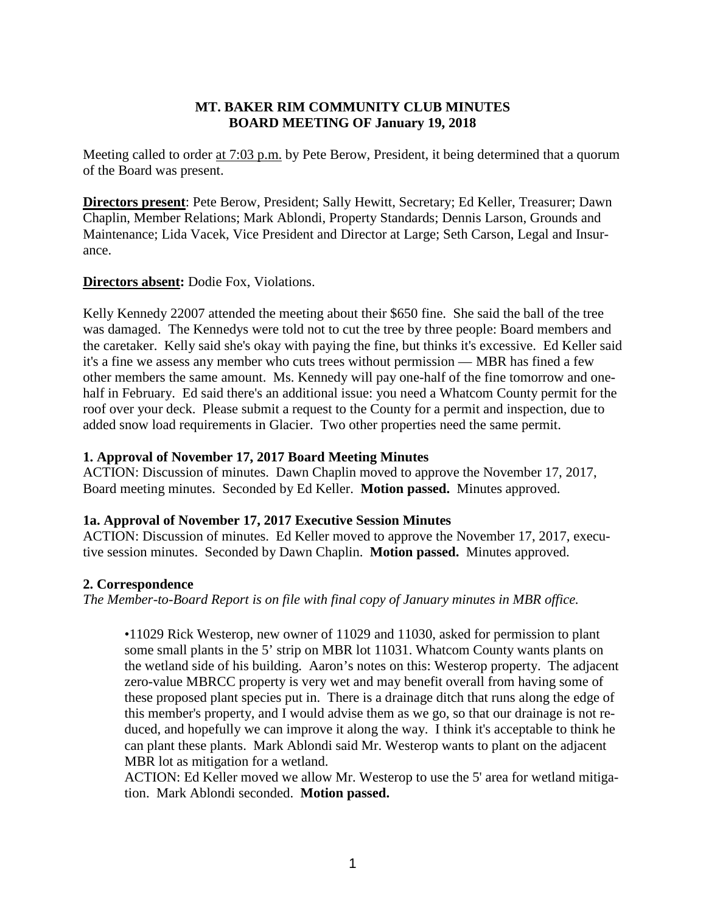### **MT. BAKER RIM COMMUNITY CLUB MINUTES BOARD MEETING OF January 19, 2018**

Meeting called to order at 7:03 p.m. by Pete Berow, President, it being determined that a quorum of the Board was present.

**Directors present**: Pete Berow, President; Sally Hewitt, Secretary; Ed Keller, Treasurer; Dawn Chaplin, Member Relations; Mark Ablondi, Property Standards; Dennis Larson, Grounds and Maintenance; Lida Vacek, Vice President and Director at Large; Seth Carson, Legal and Insurance.

### **Directors absent:** Dodie Fox, Violations.

Kelly Kennedy 22007 attended the meeting about their \$650 fine. She said the ball of the tree was damaged. The Kennedys were told not to cut the tree by three people: Board members and the caretaker. Kelly said she's okay with paying the fine, but thinks it's excessive. Ed Keller said it's a fine we assess any member who cuts trees without permission — MBR has fined a few other members the same amount. Ms. Kennedy will pay one-half of the fine tomorrow and onehalf in February. Ed said there's an additional issue: you need a Whatcom County permit for the roof over your deck. Please submit a request to the County for a permit and inspection, due to added snow load requirements in Glacier. Two other properties need the same permit.

#### **1. Approval of November 17, 2017 Board Meeting Minutes**

ACTION: Discussion of minutes. Dawn Chaplin moved to approve the November 17, 2017, Board meeting minutes. Seconded by Ed Keller. **Motion passed.** Minutes approved.

#### **1a. Approval of November 17, 2017 Executive Session Minutes**

ACTION: Discussion of minutes. Ed Keller moved to approve the November 17, 2017, executive session minutes. Seconded by Dawn Chaplin. **Motion passed.** Minutes approved.

#### **2. Correspondence**

*The Member-to-Board Report is on file with final copy of January minutes in MBR office.*

•11029 Rick Westerop, new owner of 11029 and 11030, asked for permission to plant some small plants in the 5' strip on MBR lot 11031. Whatcom County wants plants on the wetland side of his building. Aaron's notes on this: Westerop property. The adjacent zero-value MBRCC property is very wet and may benefit overall from having some of these proposed plant species put in. There is a drainage ditch that runs along the edge of this member's property, and I would advise them as we go, so that our drainage is not reduced, and hopefully we can improve it along the way. I think it's acceptable to think he can plant these plants. Mark Ablondi said Mr. Westerop wants to plant on the adjacent MBR lot as mitigation for a wetland.

ACTION: Ed Keller moved we allow Mr. Westerop to use the 5' area for wetland mitigation. Mark Ablondi seconded. **Motion passed.**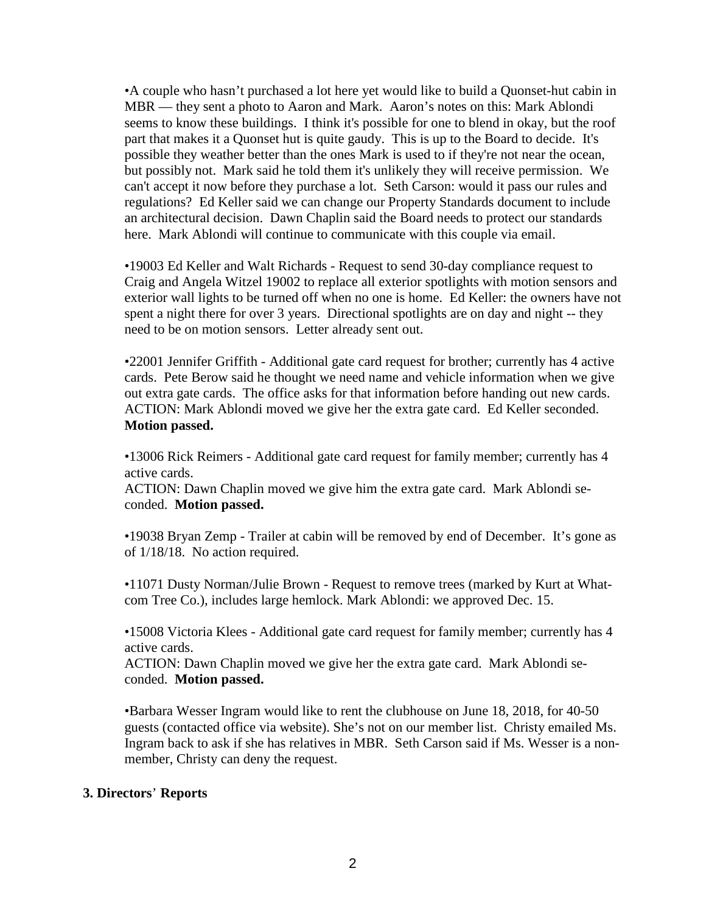•A couple who hasn't purchased a lot here yet would like to build a Quonset-hut cabin in MBR — they sent a photo to Aaron and Mark. Aaron's notes on this: Mark Ablondi seems to know these buildings. I think it's possible for one to blend in okay, but the roof part that makes it a Quonset hut is quite gaudy. This is up to the Board to decide. It's possible they weather better than the ones Mark is used to if they're not near the ocean, but possibly not. Mark said he told them it's unlikely they will receive permission. We can't accept it now before they purchase a lot. Seth Carson: would it pass our rules and regulations? Ed Keller said we can change our Property Standards document to include an architectural decision. Dawn Chaplin said the Board needs to protect our standards here. Mark Ablondi will continue to communicate with this couple via email.

•19003 Ed Keller and Walt Richards - Request to send 30-day compliance request to Craig and Angela Witzel 19002 to replace all exterior spotlights with motion sensors and exterior wall lights to be turned off when no one is home. Ed Keller: the owners have not spent a night there for over 3 years. Directional spotlights are on day and night -- they need to be on motion sensors. Letter already sent out.

•22001 Jennifer Griffith - Additional gate card request for brother; currently has 4 active cards. Pete Berow said he thought we need name and vehicle information when we give out extra gate cards. The office asks for that information before handing out new cards. ACTION: Mark Ablondi moved we give her the extra gate card. Ed Keller seconded. **Motion passed.**

•13006 Rick Reimers - Additional gate card request for family member; currently has 4 active cards.

ACTION: Dawn Chaplin moved we give him the extra gate card. Mark Ablondi seconded. **Motion passed.**

•19038 Bryan Zemp - Trailer at cabin will be removed by end of December. It's gone as of 1/18/18. No action required.

•11071 Dusty Norman/Julie Brown - Request to remove trees (marked by Kurt at Whatcom Tree Co.), includes large hemlock. Mark Ablondi: we approved Dec. 15.

•15008 Victoria Klees - Additional gate card request for family member; currently has 4 active cards.

ACTION: Dawn Chaplin moved we give her the extra gate card. Mark Ablondi seconded. **Motion passed.**

•Barbara Wesser Ingram would like to rent the clubhouse on June 18, 2018, for 40-50 guests (contacted office via website). She's not on our member list. Christy emailed Ms. Ingram back to ask if she has relatives in MBR. Seth Carson said if Ms. Wesser is a nonmember, Christy can deny the request.

#### **3. Directors**' **Reports**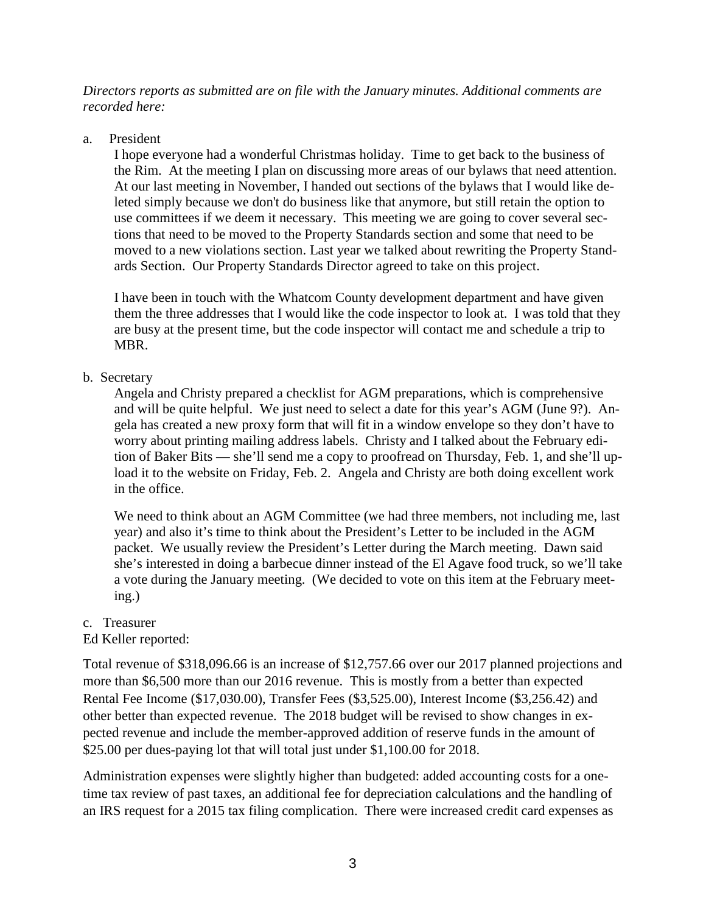*Directors reports as submitted are on file with the January minutes. Additional comments are recorded here:*

#### a. President

I hope everyone had a wonderful Christmas holiday. Time to get back to the business of the Rim. At the meeting I plan on discussing more areas of our bylaws that need attention. At our last meeting in November, I handed out sections of the bylaws that I would like deleted simply because we don't do business like that anymore, but still retain the option to use committees if we deem it necessary. This meeting we are going to cover several sections that need to be moved to the Property Standards section and some that need to be moved to a new violations section. Last year we talked about rewriting the Property Standards Section. Our Property Standards Director agreed to take on this project.

I have been in touch with the Whatcom County development department and have given them the three addresses that I would like the code inspector to look at. I was told that they are busy at the present time, but the code inspector will contact me and schedule a trip to MBR.

## b. Secretary

Angela and Christy prepared a checklist for AGM preparations, which is comprehensive and will be quite helpful. We just need to select a date for this year's AGM (June 9?). Angela has created a new proxy form that will fit in a window envelope so they don't have to worry about printing mailing address labels. Christy and I talked about the February edition of Baker Bits — she'll send me a copy to proofread on Thursday, Feb. 1, and she'll upload it to the website on Friday, Feb. 2. Angela and Christy are both doing excellent work in the office.

We need to think about an AGM Committee (we had three members, not including me, last year) and also it's time to think about the President's Letter to be included in the AGM packet. We usually review the President's Letter during the March meeting. Dawn said she's interested in doing a barbecue dinner instead of the El Agave food truck, so we'll take a vote during the January meeting. (We decided to vote on this item at the February meeting.)

## c. Treasurer

## Ed Keller reported:

Total revenue of \$318,096.66 is an increase of \$12,757.66 over our 2017 planned projections and more than \$6,500 more than our 2016 revenue. This is mostly from a better than expected Rental Fee Income (\$17,030.00), Transfer Fees (\$3,525.00), Interest Income (\$3,256.42) and other better than expected revenue. The 2018 budget will be revised to show changes in expected revenue and include the member-approved addition of reserve funds in the amount of \$25.00 per dues-paying lot that will total just under \$1,100.00 for 2018.

Administration expenses were slightly higher than budgeted: added accounting costs for a onetime tax review of past taxes, an additional fee for depreciation calculations and the handling of an IRS request for a 2015 tax filing complication. There were increased credit card expenses as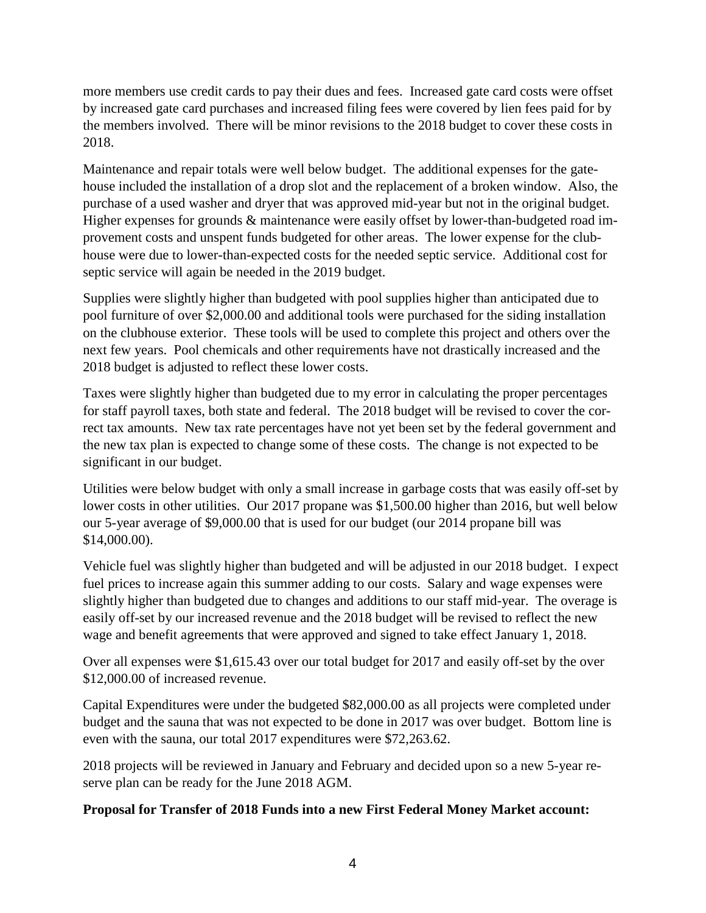more members use credit cards to pay their dues and fees. Increased gate card costs were offset by increased gate card purchases and increased filing fees were covered by lien fees paid for by the members involved. There will be minor revisions to the 2018 budget to cover these costs in 2018.

Maintenance and repair totals were well below budget. The additional expenses for the gatehouse included the installation of a drop slot and the replacement of a broken window. Also, the purchase of a used washer and dryer that was approved mid-year but not in the original budget. Higher expenses for grounds & maintenance were easily offset by lower-than-budgeted road improvement costs and unspent funds budgeted for other areas. The lower expense for the clubhouse were due to lower-than-expected costs for the needed septic service. Additional cost for septic service will again be needed in the 2019 budget.

Supplies were slightly higher than budgeted with pool supplies higher than anticipated due to pool furniture of over \$2,000.00 and additional tools were purchased for the siding installation on the clubhouse exterior. These tools will be used to complete this project and others over the next few years. Pool chemicals and other requirements have not drastically increased and the 2018 budget is adjusted to reflect these lower costs.

Taxes were slightly higher than budgeted due to my error in calculating the proper percentages for staff payroll taxes, both state and federal. The 2018 budget will be revised to cover the correct tax amounts. New tax rate percentages have not yet been set by the federal government and the new tax plan is expected to change some of these costs. The change is not expected to be significant in our budget.

Utilities were below budget with only a small increase in garbage costs that was easily off-set by lower costs in other utilities. Our 2017 propane was \$1,500.00 higher than 2016, but well below our 5-year average of \$9,000.00 that is used for our budget (our 2014 propane bill was \$14,000.00).

Vehicle fuel was slightly higher than budgeted and will be adjusted in our 2018 budget. I expect fuel prices to increase again this summer adding to our costs. Salary and wage expenses were slightly higher than budgeted due to changes and additions to our staff mid-year. The overage is easily off-set by our increased revenue and the 2018 budget will be revised to reflect the new wage and benefit agreements that were approved and signed to take effect January 1, 2018.

Over all expenses were \$1,615.43 over our total budget for 2017 and easily off-set by the over \$12,000.00 of increased revenue.

Capital Expenditures were under the budgeted \$82,000.00 as all projects were completed under budget and the sauna that was not expected to be done in 2017 was over budget. Bottom line is even with the sauna, our total 2017 expenditures were \$72,263.62.

2018 projects will be reviewed in January and February and decided upon so a new 5-year reserve plan can be ready for the June 2018 AGM.

## **Proposal for Transfer of 2018 Funds into a new First Federal Money Market account:**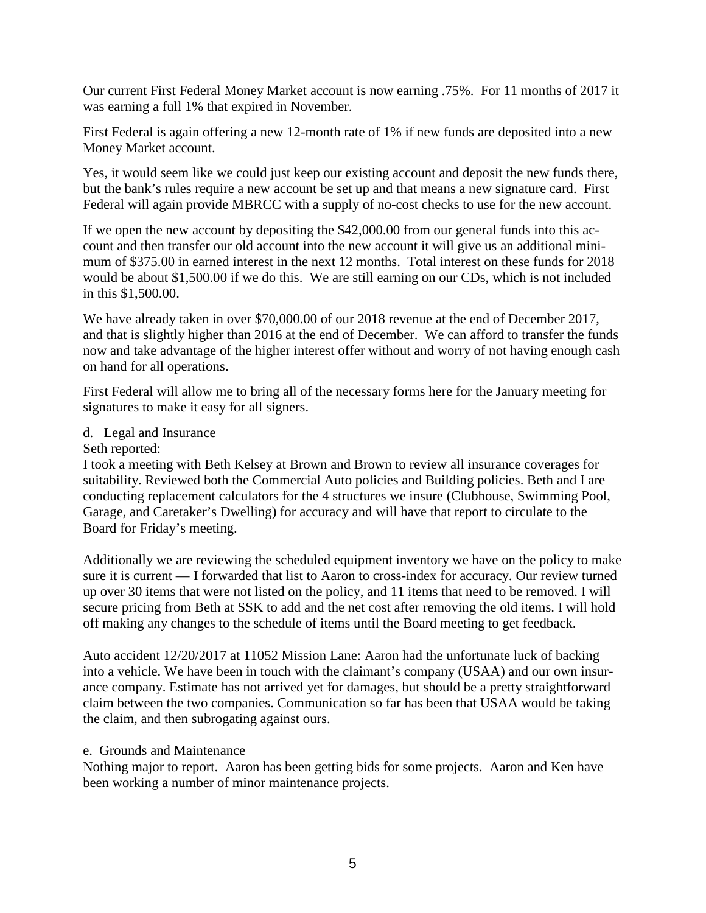Our current First Federal Money Market account is now earning .75%. For 11 months of 2017 it was earning a full 1% that expired in November.

First Federal is again offering a new 12-month rate of 1% if new funds are deposited into a new Money Market account.

Yes, it would seem like we could just keep our existing account and deposit the new funds there, but the bank's rules require a new account be set up and that means a new signature card. First Federal will again provide MBRCC with a supply of no-cost checks to use for the new account.

If we open the new account by depositing the \$42,000.00 from our general funds into this account and then transfer our old account into the new account it will give us an additional minimum of \$375.00 in earned interest in the next 12 months. Total interest on these funds for 2018 would be about \$1,500.00 if we do this. We are still earning on our CDs, which is not included in this \$1,500.00.

We have already taken in over \$70,000.00 of our 2018 revenue at the end of December 2017, and that is slightly higher than 2016 at the end of December. We can afford to transfer the funds now and take advantage of the higher interest offer without and worry of not having enough cash on hand for all operations.

First Federal will allow me to bring all of the necessary forms here for the January meeting for signatures to make it easy for all signers.

- d. Legal and Insurance
- Seth reported:

I took a meeting with Beth Kelsey at Brown and Brown to review all insurance coverages for suitability. Reviewed both the Commercial Auto policies and Building policies. Beth and I are conducting replacement calculators for the 4 structures we insure (Clubhouse, Swimming Pool, Garage, and Caretaker's Dwelling) for accuracy and will have that report to circulate to the Board for Friday's meeting.

Additionally we are reviewing the scheduled equipment inventory we have on the policy to make sure it is current — I forwarded that list to Aaron to cross-index for accuracy. Our review turned up over 30 items that were not listed on the policy, and 11 items that need to be removed. I will secure pricing from Beth at SSK to add and the net cost after removing the old items. I will hold off making any changes to the schedule of items until the Board meeting to get feedback.

Auto accident 12/20/2017 at 11052 Mission Lane: Aaron had the unfortunate luck of backing into a vehicle. We have been in touch with the claimant's company (USAA) and our own insurance company. Estimate has not arrived yet for damages, but should be a pretty straightforward claim between the two companies. Communication so far has been that USAA would be taking the claim, and then subrogating against ours.

#### e. Grounds and Maintenance

Nothing major to report. Aaron has been getting bids for some projects. Aaron and Ken have been working a number of minor maintenance projects.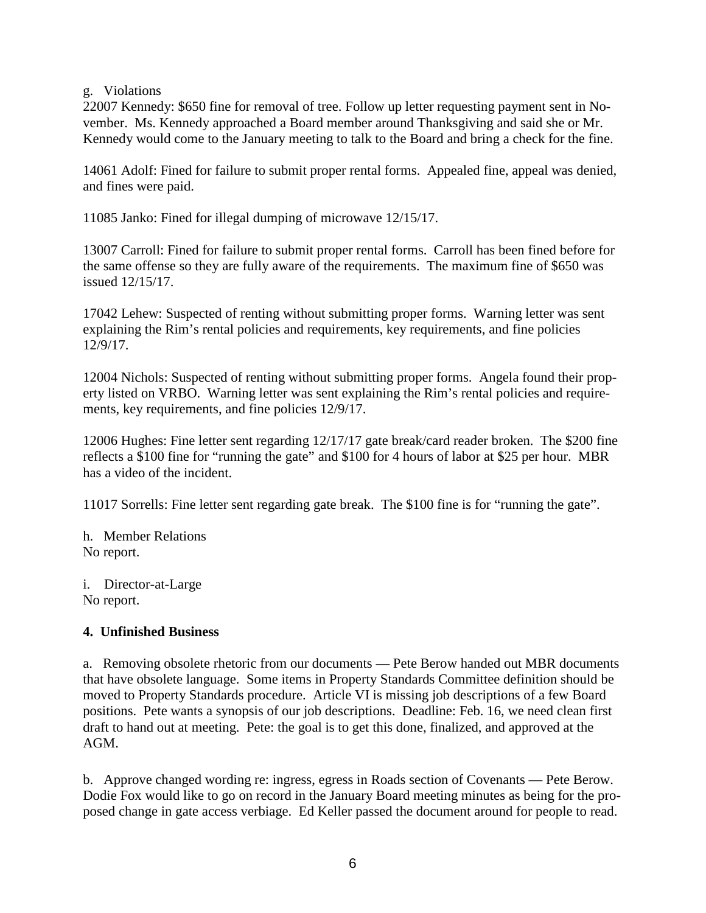g. Violations

22007 Kennedy: \$650 fine for removal of tree. Follow up letter requesting payment sent in November. Ms. Kennedy approached a Board member around Thanksgiving and said she or Mr. Kennedy would come to the January meeting to talk to the Board and bring a check for the fine.

14061 Adolf: Fined for failure to submit proper rental forms. Appealed fine, appeal was denied, and fines were paid.

11085 Janko: Fined for illegal dumping of microwave 12/15/17.

13007 Carroll: Fined for failure to submit proper rental forms. Carroll has been fined before for the same offense so they are fully aware of the requirements. The maximum fine of \$650 was issued 12/15/17.

17042 Lehew: Suspected of renting without submitting proper forms. Warning letter was sent explaining the Rim's rental policies and requirements, key requirements, and fine policies 12/9/17.

12004 Nichols: Suspected of renting without submitting proper forms. Angela found their property listed on VRBO. Warning letter was sent explaining the Rim's rental policies and requirements, key requirements, and fine policies 12/9/17.

12006 Hughes: Fine letter sent regarding 12/17/17 gate break/card reader broken. The \$200 fine reflects a \$100 fine for "running the gate" and \$100 for 4 hours of labor at \$25 per hour. MBR has a video of the incident.

11017 Sorrells: Fine letter sent regarding gate break. The \$100 fine is for "running the gate".

h. Member Relations No report.

i. Director-at-Large No report.

## **4. Unfinished Business**

a. Removing obsolete rhetoric from our documents — Pete Berow handed out MBR documents that have obsolete language. Some items in Property Standards Committee definition should be moved to Property Standards procedure. Article VI is missing job descriptions of a few Board positions. Pete wants a synopsis of our job descriptions. Deadline: Feb. 16, we need clean first draft to hand out at meeting. Pete: the goal is to get this done, finalized, and approved at the AGM.

b. Approve changed wording re: ingress, egress in Roads section of Covenants — Pete Berow. Dodie Fox would like to go on record in the January Board meeting minutes as being for the proposed change in gate access verbiage. Ed Keller passed the document around for people to read.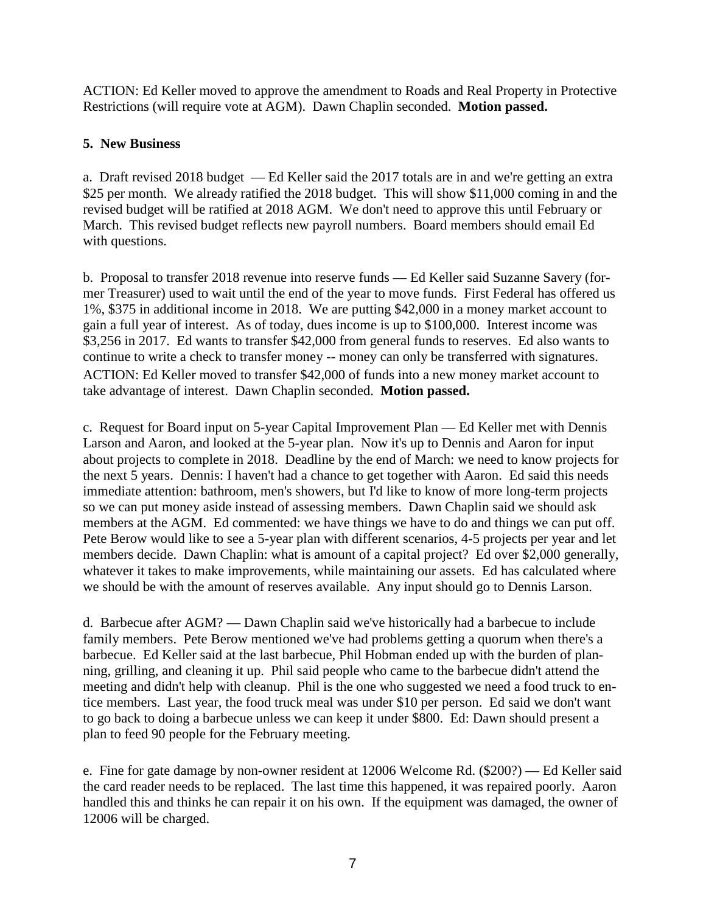ACTION: Ed Keller moved to approve the amendment to Roads and Real Property in Protective Restrictions (will require vote at AGM). Dawn Chaplin seconded. **Motion passed.**

# **5. New Business**

a. Draft revised 2018 budget — Ed Keller said the 2017 totals are in and we're getting an extra \$25 per month. We already ratified the 2018 budget. This will show \$11,000 coming in and the revised budget will be ratified at 2018 AGM. We don't need to approve this until February or March. This revised budget reflects new payroll numbers. Board members should email Ed with questions.

b. Proposal to transfer 2018 revenue into reserve funds — Ed Keller said Suzanne Savery (former Treasurer) used to wait until the end of the year to move funds. First Federal has offered us 1%, \$375 in additional income in 2018. We are putting \$42,000 in a money market account to gain a full year of interest. As of today, dues income is up to \$100,000. Interest income was \$3,256 in 2017. Ed wants to transfer \$42,000 from general funds to reserves. Ed also wants to continue to write a check to transfer money -- money can only be transferred with signatures. ACTION: Ed Keller moved to transfer \$42,000 of funds into a new money market account to take advantage of interest. Dawn Chaplin seconded. **Motion passed.**

c. Request for Board input on 5-year Capital Improvement Plan — Ed Keller met with Dennis Larson and Aaron, and looked at the 5-year plan. Now it's up to Dennis and Aaron for input about projects to complete in 2018. Deadline by the end of March: we need to know projects for the next 5 years. Dennis: I haven't had a chance to get together with Aaron. Ed said this needs immediate attention: bathroom, men's showers, but I'd like to know of more long-term projects so we can put money aside instead of assessing members. Dawn Chaplin said we should ask members at the AGM. Ed commented: we have things we have to do and things we can put off. Pete Berow would like to see a 5-year plan with different scenarios, 4-5 projects per year and let members decide. Dawn Chaplin: what is amount of a capital project? Ed over \$2,000 generally, whatever it takes to make improvements, while maintaining our assets. Ed has calculated where we should be with the amount of reserves available. Any input should go to Dennis Larson.

d. Barbecue after AGM? — Dawn Chaplin said we've historically had a barbecue to include family members. Pete Berow mentioned we've had problems getting a quorum when there's a barbecue. Ed Keller said at the last barbecue, Phil Hobman ended up with the burden of planning, grilling, and cleaning it up. Phil said people who came to the barbecue didn't attend the meeting and didn't help with cleanup. Phil is the one who suggested we need a food truck to entice members. Last year, the food truck meal was under \$10 per person. Ed said we don't want to go back to doing a barbecue unless we can keep it under \$800. Ed: Dawn should present a plan to feed 90 people for the February meeting.

e. Fine for gate damage by non-owner resident at 12006 Welcome Rd. (\$200?) — Ed Keller said the card reader needs to be replaced. The last time this happened, it was repaired poorly. Aaron handled this and thinks he can repair it on his own. If the equipment was damaged, the owner of 12006 will be charged.